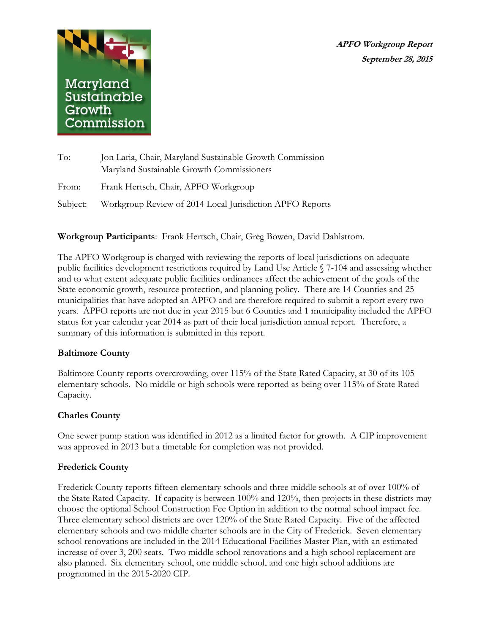**APFO Workgroup Report September 28, 2015**



| To:   | Jon Laria, Chair, Maryland Sustainable Growth Commission          |
|-------|-------------------------------------------------------------------|
|       | Maryland Sustainable Growth Commissioners                         |
| From: | Frank Hertsch, Chair, APFO Workgroup                              |
|       | Subject: Workgroup Review of 2014 Local Jurisdiction APFO Reports |

**Workgroup Participants**: Frank Hertsch, Chair, Greg Bowen, David Dahlstrom.

The APFO Workgroup is charged with reviewing the reports of local jurisdictions on adequate public facilities development restrictions required by Land Use Article § 7-104 and assessing whether and to what extent adequate public facilities ordinances affect the achievement of the goals of the State economic growth, resource protection, and planning policy. There are 14 Counties and 25 municipalities that have adopted an APFO and are therefore required to submit a report every two years. APFO reports are not due in year 2015 but 6 Counties and 1 municipality included the APFO status for year calendar year 2014 as part of their local jurisdiction annual report. Therefore, a summary of this information is submitted in this report.

## **Baltimore County**

Baltimore County reports overcrowding, over 115% of the State Rated Capacity, at 30 of its 105 elementary schools. No middle or high schools were reported as being over 115% of State Rated Capacity.

## **Charles County**

One sewer pump station was identified in 2012 as a limited factor for growth. A CIP improvement was approved in 2013 but a timetable for completion was not provided.

## **Frederick County**

Frederick County reports fifteen elementary schools and three middle schools at of over 100% of the State Rated Capacity. If capacity is between 100% and 120%, then projects in these districts may choose the optional School Construction Fee Option in addition to the normal school impact fee. Three elementary school districts are over 120% of the State Rated Capacity. Five of the affected elementary schools and two middle charter schools are in the City of Frederick. Seven elementary school renovations are included in the 2014 Educational Facilities Master Plan, with an estimated increase of over 3, 200 seats. Two middle school renovations and a high school replacement are also planned. Six elementary school, one middle school, and one high school additions are programmed in the 2015-2020 CIP.